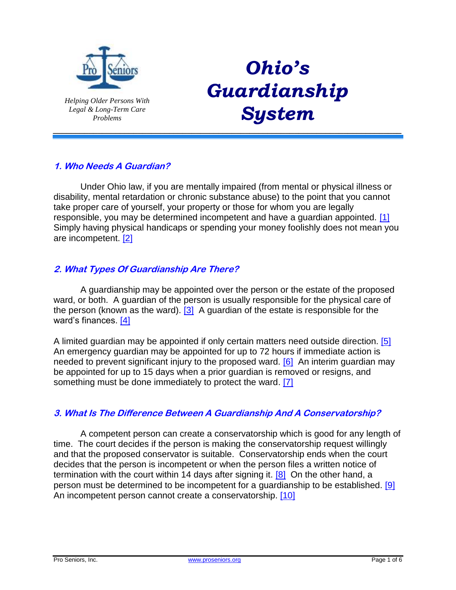

*Helping Older Persons With Legal & Long-Term Care Problems*

# <span id="page-0-0"></span>*Ohio's Guardianship System*

# **1. Who Needs A Guardian?**

Under Ohio law, if you are mentally impaired (from mental or physical illness or disability, mental retardation or chronic substance abuse) to the point that you cannot take proper care of yourself, your property or those for whom you are legally responsible, you may be determined incompetent and have a guardian appointed. [\[1\]](#page-4-0) Simply having physical handicaps or spending your money foolishly does not mean you are incompetent. [\[2\]](#page-4-1)

*\_\_\_\_\_\_\_\_\_\_\_\_\_\_\_\_\_\_\_\_\_\_\_\_\_\_\_\_\_\_\_\_\_\_\_\_\_\_\_\_\_\_\_\_\_\_\_\_\_\_\_\_\_\_\_\_\_\_\_\_\_\_\_\_\_\_\_\_\_\_\_\_\_\_\_\_\_\_*

## <span id="page-0-1"></span>**2. What Types Of Guardianship Are There?**

<span id="page-0-2"></span>A guardianship may be appointed over the person or the estate of the proposed ward, or both. A guardian of the person is usually responsible for the physical care of the person (known as the ward).  $\boxed{3}$  A guardian of the estate is responsible for the ward's finances. [\[4\]](#page-4-3)

<span id="page-0-5"></span><span id="page-0-4"></span><span id="page-0-3"></span>A limited guardian may be appointed if only certain matters need outside direction. [\[5\]](#page-4-4)  An emergency guardian may be appointed for up to 72 hours if immediate action is needed to prevent significant injury to the proposed ward. [\[6\]](#page-4-5) An interim quardian may be appointed for up to 15 days when a prior guardian is removed or resigns, and something must be done immediately to protect the ward. [\[7\]](#page-4-6)

#### <span id="page-0-6"></span>**3. What Is The Difference Between A Guardianship And A Conservatorship?**

<span id="page-0-9"></span><span id="page-0-8"></span><span id="page-0-7"></span>A competent person can create a conservatorship which is good for any length of time. The court decides if the person is making the conservatorship request willingly and that the proposed conservator is suitable. Conservatorship ends when the court decides that the person is incompetent or when the person files a written notice of termination with the court within 14 days after signing it. [\[8\]](#page-4-7) On the other hand, a person must be determined to be incompetent for a guardianship to be established. [\[9\]](#page-4-8) An incompetent person cannot create a conservatorship. [\[10\]](#page-4-9)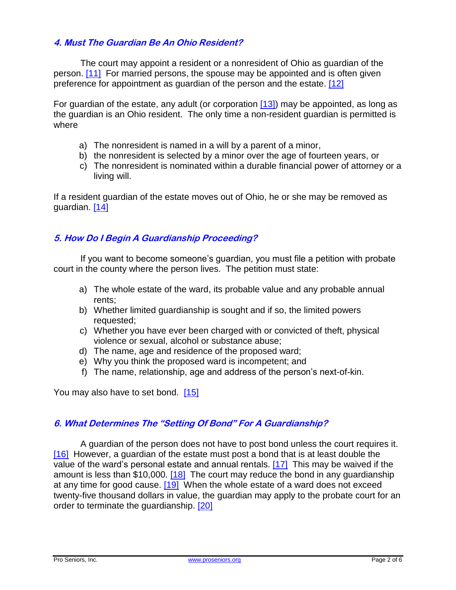## **4. Must The Guardian Be An Ohio Resident?**

<span id="page-1-0"></span>The court may appoint a resident or a nonresident of Ohio as guardian of the person. [\[11\]](#page-4-10) For married persons, the spouse may be appointed and is often given preference for appointment as guardian of the person and the estate. [\[12\]](#page-4-11)

For guardian of the estate, any adult (or corporation [\[13\]\)](#page-4-12) may be appointed, as long as the guardian is an Ohio resident. The only time a non-resident guardian is permitted is where

- <span id="page-1-2"></span><span id="page-1-1"></span>a) The nonresident is named in a will by a parent of a minor,
- b) the nonresident is selected by a minor over the age of fourteen years, or
- c) The nonresident is nominated within a durable financial power of attorney or a living will.

<span id="page-1-3"></span>If a resident guardian of the estate moves out of Ohio, he or she may be removed as guardian. [\[14\]](#page-4-13)

#### **5. How Do I Begin A Guardianship Proceeding?**

If you want to become someone's guardian, you must file a petition with probate court in the county where the person lives. The petition must state:

- a) The whole estate of the ward, its probable value and any probable annual rents;
- b) Whether limited guardianship is sought and if so, the limited powers requested;
- c) Whether you have ever been charged with or convicted of theft, physical violence or sexual, alcohol or substance abuse;
- d) The name, age and residence of the proposed ward;
- e) Why you think the proposed ward is incompetent; and
- <span id="page-1-6"></span><span id="page-1-4"></span>f) The name, relationship, age and address of the person's next-of-kin.

You may also have to set bond.  $[15]$ 

#### **6. What Determines The "Setting Of Bond" For A Guardianship?**

<span id="page-1-9"></span><span id="page-1-8"></span><span id="page-1-7"></span><span id="page-1-5"></span>A guardian of the person does not have to post bond unless the court requires it. [\[16\]](#page-4-15) However, a guardian of the estate must post a bond that is at least double the value of the ward's personal estate and annual rentals. [\[17\]](#page-4-16) This may be waived if the amount is less than \$10,000.  $[18]$  The court may reduce the bond in any guardianship at any time for good cause. [\[19\]](#page-4-18) When the whole estate of a ward does not exceed twenty-five thousand dollars in value, the guardian may apply to the probate court for an order to terminate the guardianship. [\[20\]](#page-4-19)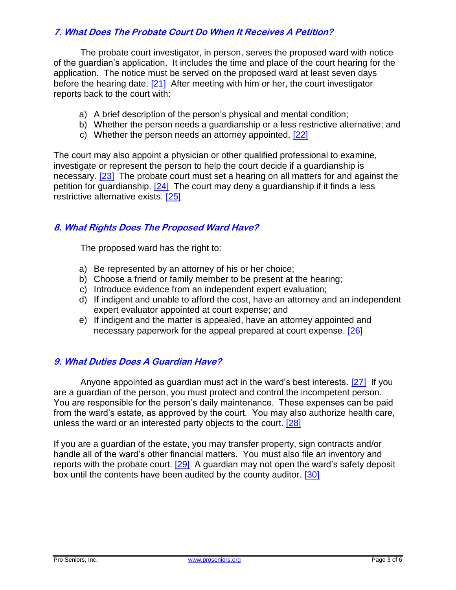# **7. What Does The Probate Court Do When It Receives A Petition?**

The probate court investigator, in person, serves the proposed ward with notice of the guardian's application. It includes the time and place of the court hearing for the application. The notice must be served on the proposed ward at least seven days before the hearing date. [\[21\]](#page-4-20) After meeting with him or her, the court investigator reports back to the court with:

- <span id="page-2-0"></span>a) A brief description of the person's physical and mental condition;
- b) Whether the person needs a guardianship or a less restrictive alternative; and
- <span id="page-2-3"></span><span id="page-2-2"></span><span id="page-2-1"></span>c) Whether the person needs an attorney appointed. [\[22\]](#page-4-21)

The court may also appoint a physician or other qualified professional to examine, investigate or represent the person to help the court decide if a guardianship is necessary. [\[23\]](#page-4-22) The probate court must set a hearing on all matters for and against the petition for guardianship. [\[24\]](#page-4-23) The court may deny a guardianship if it finds a less restrictive alternative exists. [\[25\]](#page-4-24)

## **8. What Rights Does The Proposed Ward Have?**

<span id="page-2-4"></span>The proposed ward has the right to:

- a) Be represented by an attorney of his or her choice;
- b) Choose a friend or family member to be present at the hearing;
- c) Introduce evidence from an independent expert evaluation;
- d) If indigent and unable to afford the cost, have an attorney and an independent expert evaluator appointed at court expense; and
- <span id="page-2-7"></span><span id="page-2-6"></span><span id="page-2-5"></span>e) If indigent and the matter is appealed, have an attorney appointed and necessary paperwork for the appeal prepared at court expense. [\[26\]](#page-4-25)

#### **9. What Duties Does A Guardian Have?**

Anyone appointed as guardian must act in the ward's best interests. [\[27\]](#page-4-26) If you are a guardian of the person, you must protect and control the incompetent person. You are responsible for the person's daily maintenance. These expenses can be paid from the ward's estate, as approved by the court. You may also authorize health care, unless the ward or an interested party objects to the court. [\[28\]](#page-5-0)

<span id="page-2-9"></span><span id="page-2-8"></span>If you are a guardian of the estate, you may transfer property, sign contracts and/or handle all of the ward's other financial matters. You must also file an inventory and reports with the probate court. [\[29\]](#page-5-1) A guardian may not open the ward's safety deposit box until the contents have been audited by the county auditor. [\[30\]](#page-5-2)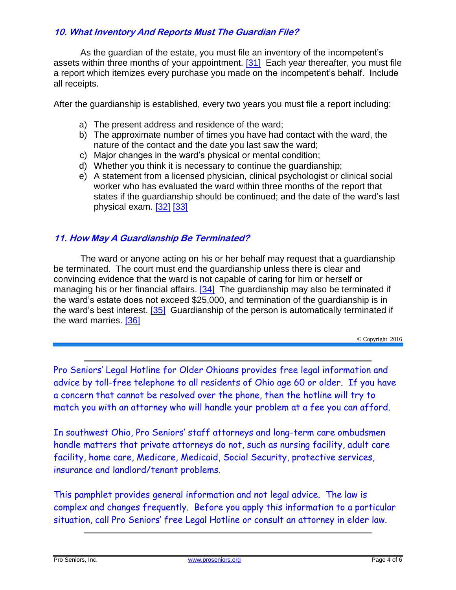# **10. What Inventory And Reports Must The Guardian File?**

As the guardian of the estate, you must file an inventory of the incompetent's assets within three months of your appointment. [\[31\]](#page-5-3) Each year thereafter, you must file a report which itemizes every purchase you made on the incompetent's behalf. Include all receipts.

After the guardianship is established, every two years you must file a report including:

- <span id="page-3-0"></span>a) The present address and residence of the ward;
- b) The approximate number of times you have had contact with the ward, the nature of the contact and the date you last saw the ward;
- c) Major changes in the ward's physical or mental condition;
- d) Whether you think it is necessary to continue the guardianship;
- <span id="page-3-2"></span><span id="page-3-1"></span>e) A statement from a licensed physician, clinical psychologist or clinical social worker who has evaluated the ward within three months of the report that states if the guardianship should be continued; and the date of the ward's last physical exam. [\[32\]](#page-5-4) [\[33\]](#page-5-5)

## **11. How May A Guardianship Be Terminated?**

<span id="page-3-4"></span><span id="page-3-3"></span>The ward or anyone acting on his or her behalf may request that a guardianship be terminated. The court must end the guardianship unless there is clear and convincing evidence that the ward is not capable of caring for him or herself or managing his or her financial affairs.  $[34]$  The guardianship may also be terminated if the ward's estate does not exceed \$25,000, and termination of the guardianship is in the ward's best interest. [\[35\]](#page-5-7) Guardianship of the person is automatically terminated if the ward marries. [\[36\]](#page-5-8)

© Copyright 2016

<span id="page-3-5"></span>Pro Seniors' Legal Hotline for Older Ohioans provides free legal information and advice by toll-free telephone to all residents of Ohio age 60 or older. If you have a concern that cannot be resolved over the phone, then the hotline will try to match you with an attorney who will handle your problem at a fee you can afford.

In southwest Ohio, Pro Seniors' staff attorneys and long-term care ombudsmen handle matters that private attorneys do not, such as nursing facility, adult care facility, home care, Medicare, Medicaid, Social Security, protective services, insurance and landlord/tenant problems.

This pamphlet provides general information and not legal advice. The law is complex and changes frequently. Before you apply this information to a particular situation, call Pro Seniors' free Legal Hotline or consult an attorney in elder law.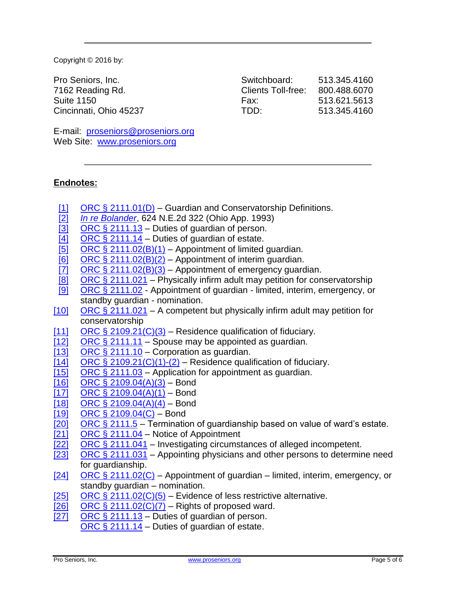Copyright © 2016 by:

Pro Seniors, Inc. 7162 Reading Rd. Suite 1150 Cincinnati, Ohio 45237

| Switchboard:       | 513.345.4160 |
|--------------------|--------------|
| Clients Toll-free: | 800.488.6070 |
| Fax:               | 513.621.5613 |
| TDD:               | 513.345.4160 |

E-mail: [proseniors@proseniors.org](mailto:proseniors@proseniors.org) Web Site: [www.proseniors.org](http://www.proseniors.org/)

# **Endnotes:**

- <span id="page-4-0"></span>[\[1\]](#page-0-0) [ORC § 2111.01\(D\)](http://codes.ohio.gov/orc/2111.01) – Guardian and Conservatorship Definitions.
- <span id="page-4-1"></span>[\[2\]](#page-0-1) *[In re Bolander](http://www.leagle.com/decision/199358688OhioApp3d498_1513.xml/IN%20RE%20BOLANDER)*, 624 N.E.2d 322 (Ohio App. 1993)
- <span id="page-4-2"></span>ORC  $\S$  2111.13 – Duties of guardian of person.
- 
- <span id="page-4-3"></span>[\[4\]](#page-0-3) ORC  $\S 2111.14$  – Duties of guardian of estate.<br>[5] ORC  $\S 2111.02(B)(1)$  – Appointment of limited
- <span id="page-4-5"></span><span id="page-4-4"></span>[\[5\]](#page-0-4) [ORC § 2111.02\(B\)\(1\)](http://codes.ohio.gov/orc/2111.02v1) – Appointment of limited guardian.<br>[6] ORC § 2111.02(B)(2) – Appointment of interim guardian.  $\overline{[6]}$  $\overline{[6]}$  $\overline{[6]}$  [ORC § 2111.02\(B\)\(2\)](http://codes.ohio.gov/orc/2111.02v1) – Appointment of interim guardian.<br>[7] ORC § 2111.02(B)(3) – Appointment of emergency guard
- <span id="page-4-6"></span>ORC  $\S$  2111.02(B)(3) – Appointment of emergency guardian.
- <span id="page-4-7"></span>[\[8\]](#page-0-7) ORC  $\S$  2111.021 – Physically infirm adult may petition for conservatorship
- <span id="page-4-8"></span>[\[9\]](#page-0-8) [ORC § 2111.02](http://codes.ohio.gov/orc/2111.02) - Appointment of guardian - limited, interim, emergency, or standby guardian - nomination.
- <span id="page-4-9"></span> $[10]$  [ORC § 2111.021](http://codes.ohio.gov/orc/2111.021) – A competent but physically infirm adult may petition for conservatorship
- <span id="page-4-10"></span>[\[11\]](#page-1-0) ORC  $\S 2109.21(C)(3)$  – Residence qualification of fiduciary.
- <span id="page-4-11"></span>[\[12\]](#page-1-1) [ORC § 2111.11](http://codes.ohio.gov/orc/2111.11) – Spouse may be appointed as quardian.
- <span id="page-4-12"></span>[\[13\]](#page-1-2) [ORC § 2111.10](http://codes.ohio.gov/orc/2111.10) – Corporation as guardian.
- <span id="page-4-13"></span> $[14]$  [ORC § 2109.21\(C\)\(1\)-\(2\)](http://codes.ohio.gov/orc/2109.21) – Residence qualification of fiduciary.
- <span id="page-4-14"></span> $[15]$  [ORC § 2111.03](http://codes.ohio.gov/orc/2111.03) – Application for appointment as guardian.
- <span id="page-4-15"></span>[\[16\]](#page-1-5) [ORC § 2109.04\(A\)\(3\)](http://codes.ohio.gov/orc/2109.04v1) – Bond<br>[17] ORC § 2109.04(A)(1) – Bond
- <span id="page-4-16"></span>[ORC § 2109.04\(A\)\(1\)](http://codes.ohio.gov/orc/2109.04v1) – Bond
- <span id="page-4-17"></span>[\[18\]](#page-1-7) [ORC § 2109.04\(A\)\(4\)](http://codes.ohio.gov/orc/2109.04v1) – Bond<br>[19] ORC § 2109.04(C) – Bond
- <span id="page-4-18"></span> $ORC \S 2109.04(C) - Bond$
- <span id="page-4-19"></span>[\[20\]](#page-1-9) [ORC § 2111.5](http://codes.ohio.gov/orc/2111.05v1) – Termination of guardianship based on value of ward's estate.
- <span id="page-4-20"></span> $[21]$  [ORC § 2111.04](http://codes.ohio.gov/orc/2111.04v1) – Notice of Appointment
- <span id="page-4-21"></span>[\[22\]](#page-2-1) [ORC § 2111.041](http://codes.ohio.gov/orc/2111.041v1) – Investigating circumstances of alleged incompetent.
- <span id="page-4-22"></span>[\[23\]](#page-2-2) [ORC § 2111.031](http://codes.ohio.gov/orc/2111.031v1) – Appointing physicians and other persons to determine need for guardianship.
- <span id="page-4-23"></span> $[24]$  [ORC § 2111.02\(C\)](http://codes.ohio.gov/orc/2111.02v1) – Appointment of guardian – limited, interim, emergency, or standby guardian – nomination.
- <span id="page-4-24"></span>[\[25\]](#page-2-4) ORC  $\S$  2111.02(C)(5) – Evidence of less restrictive alternative.
- <span id="page-4-25"></span>[\[26\]](#page-2-5) ORC  $\S$  2111.02(C)(7) – Rights of proposed ward.
- <span id="page-4-26"></span>[\[27\]](#page-2-6) ORC  $\S$  2111.13 – Duties of guardian of person.
	- [ORC § 2111.14](http://codes.ohio.gov/orc/2111.14v1) Duties of guardian of estate.